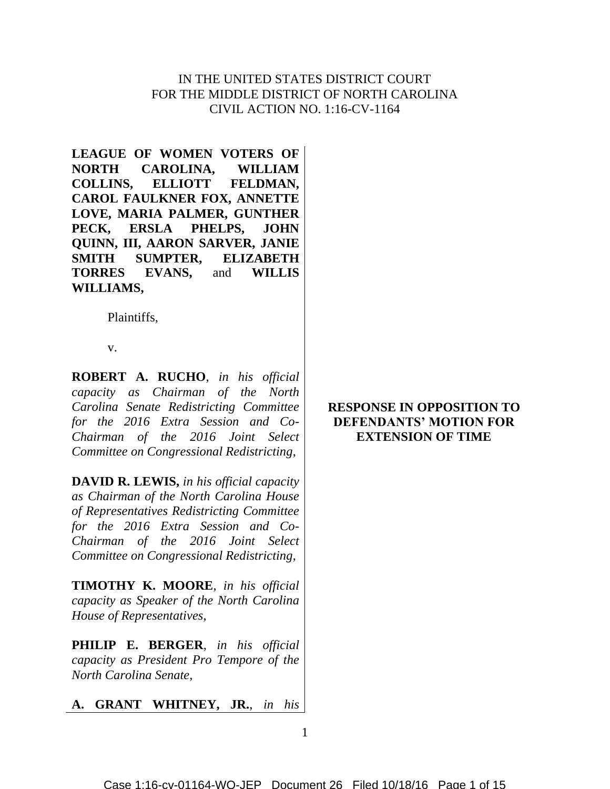# IN THE UNITED STATES DISTRICT COURT FOR THE MIDDLE DISTRICT OF NORTH CAROLINA CIVIL ACTION NO. 1:16-CV-1164

**LEAGUE OF WOMEN VOTERS OF NORTH CAROLINA, WILLIAM COLLINS, ELLIOTT FELDMAN, CAROL FAULKNER FOX, ANNETTE LOVE, MARIA PALMER, GUNTHER PECK, ERSLA PHELPS, JOHN QUINN, III, AARON SARVER, JANIE SMITH SUMPTER, ELIZABETH TORRES EVANS,** and **WILLIS WILLIAMS,**

Plaintiffs,

v.

**ROBERT A. RUCHO**, *in his official capacity as Chairman of the North Carolina Senate Redistricting Committee for the 2016 Extra Session and Co-Chairman of the 2016 Joint Select Committee on Congressional Redistricting*,

**DAVID R. LEWIS,** *in his official capacity as Chairman of the North Carolina House of Representatives Redistricting Committee for the 2016 Extra Session and Co-Chairman of the 2016 Joint Select Committee on Congressional Redistricting*,

**TIMOTHY K. MOORE**, *in his official capacity as Speaker of the North Carolina House of Representatives*,

**PHILIP E. BERGER**, *in his official capacity as President Pro Tempore of the North Carolina Senate*,

**A. GRANT WHITNEY, JR.**, *in his* 

# **RESPONSE IN OPPOSITION TO DEFENDANTS' MOTION FOR EXTENSION OF TIME**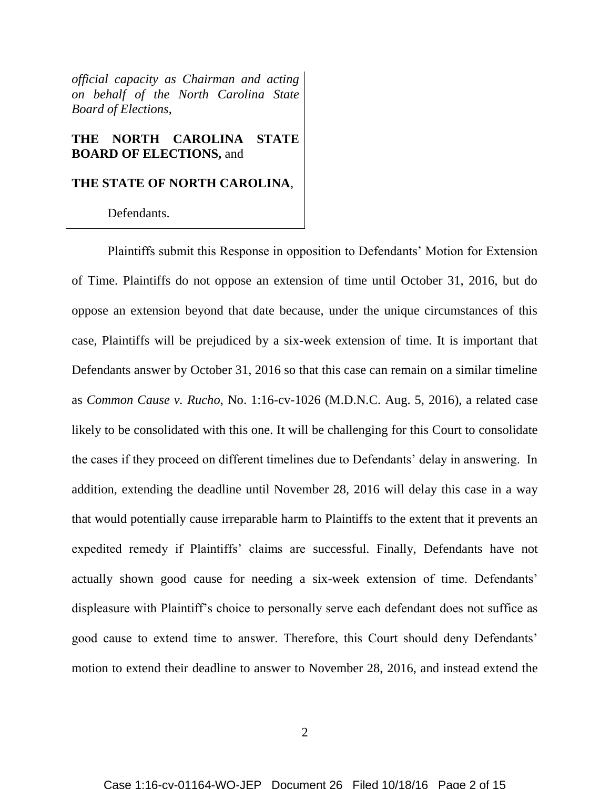*official capacity as Chairman and acting on behalf of the North Carolina State Board of Elections*,

## **THE NORTH CAROLINA STATE BOARD OF ELECTIONS,** and

## **THE STATE OF NORTH CAROLINA**,

Defendants.

Plaintiffs submit this Response in opposition to Defendants' Motion for Extension of Time. Plaintiffs do not oppose an extension of time until October 31, 2016, but do oppose an extension beyond that date because, under the unique circumstances of this case, Plaintiffs will be prejudiced by a six-week extension of time. It is important that Defendants answer by October 31, 2016 so that this case can remain on a similar timeline as *Common Cause v. Rucho*, No. 1:16-cv-1026 (M.D.N.C. Aug. 5, 2016), a related case likely to be consolidated with this one. It will be challenging for this Court to consolidate the cases if they proceed on different timelines due to Defendants' delay in answering. In addition, extending the deadline until November 28, 2016 will delay this case in a way that would potentially cause irreparable harm to Plaintiffs to the extent that it prevents an expedited remedy if Plaintiffs' claims are successful. Finally, Defendants have not actually shown good cause for needing a six-week extension of time. Defendants' displeasure with Plaintiff's choice to personally serve each defendant does not suffice as good cause to extend time to answer. Therefore, this Court should deny Defendants' motion to extend their deadline to answer to November 28, 2016, and instead extend the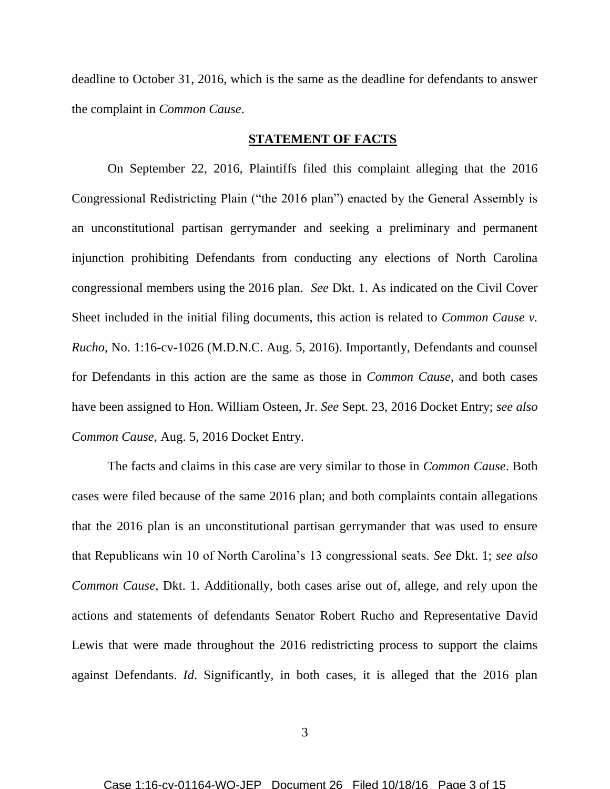deadline to October 31, 2016, which is the same as the deadline for defendants to answer the complaint in *Common Cause*.

## **STATEMENT OF FACTS**

On September 22, 2016, Plaintiffs filed this complaint alleging that the 2016 Congressional Redistricting Plain ("the 2016 plan") enacted by the General Assembly is an unconstitutional partisan gerrymander and seeking a preliminary and permanent injunction prohibiting Defendants from conducting any elections of North Carolina congressional members using the 2016 plan. *See* Dkt. 1. As indicated on the Civil Cover Sheet included in the initial filing documents, this action is related to *Common Cause v. Rucho*, No. 1:16-cv-1026 (M.D.N.C. Aug. 5, 2016). Importantly, Defendants and counsel for Defendants in this action are the same as those in *Common Cause*, and both cases have been assigned to Hon. William Osteen, Jr. *See* Sept. 23, 2016 Docket Entry; *see also Common Cause*, Aug. 5, 2016 Docket Entry.

The facts and claims in this case are very similar to those in *Common Cause*. Both cases were filed because of the same 2016 plan; and both complaints contain allegations that the 2016 plan is an unconstitutional partisan gerrymander that was used to ensure that Republicans win 10 of North Carolina's 13 congressional seats. *See* Dkt. 1; *see also Common Cause*, Dkt. 1. Additionally, both cases arise out of, allege, and rely upon the actions and statements of defendants Senator Robert Rucho and Representative David Lewis that were made throughout the 2016 redistricting process to support the claims against Defendants. *Id*. Significantly, in both cases, it is alleged that the 2016 plan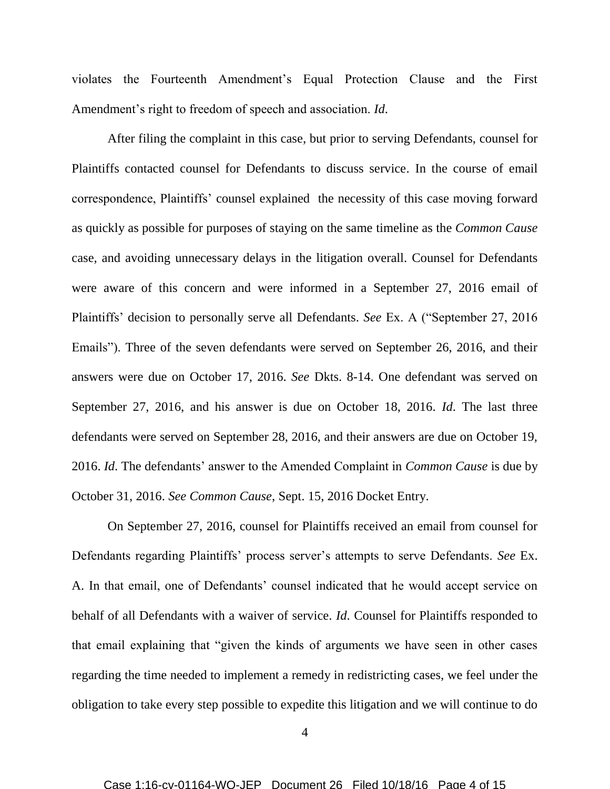violates the Fourteenth Amendment's Equal Protection Clause and the First Amendment's right to freedom of speech and association. *Id*.

After filing the complaint in this case, but prior to serving Defendants, counsel for Plaintiffs contacted counsel for Defendants to discuss service. In the course of email correspondence, Plaintiffs' counsel explained the necessity of this case moving forward as quickly as possible for purposes of staying on the same timeline as the *Common Cause* case, and avoiding unnecessary delays in the litigation overall. Counsel for Defendants were aware of this concern and were informed in a September 27, 2016 email of Plaintiffs' decision to personally serve all Defendants. *See* Ex. A ("September 27, 2016 Emails"). Three of the seven defendants were served on September 26, 2016, and their answers were due on October 17, 2016. *See* Dkts. 8-14. One defendant was served on September 27, 2016, and his answer is due on October 18, 2016. *Id*. The last three defendants were served on September 28, 2016, and their answers are due on October 19, 2016. *Id*. The defendants' answer to the Amended Complaint in *Common Cause* is due by October 31, 2016. *See Common Cause*, Sept. 15, 2016 Docket Entry.

On September 27, 2016, counsel for Plaintiffs received an email from counsel for Defendants regarding Plaintiffs' process server's attempts to serve Defendants. *See* Ex. A. In that email, one of Defendants' counsel indicated that he would accept service on behalf of all Defendants with a waiver of service. *Id*. Counsel for Plaintiffs responded to that email explaining that "given the kinds of arguments we have seen in other cases regarding the time needed to implement a remedy in redistricting cases, we feel under the obligation to take every step possible to expedite this litigation and we will continue to do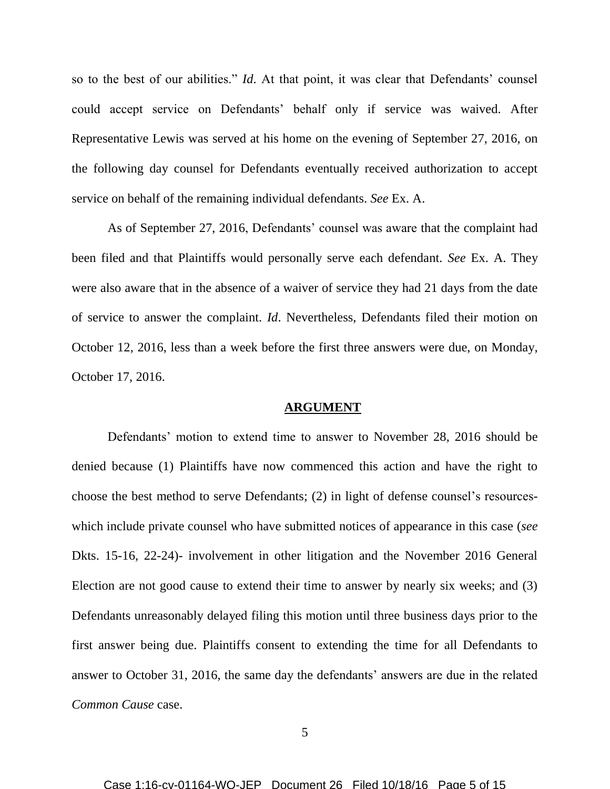so to the best of our abilities." *Id*. At that point, it was clear that Defendants' counsel could accept service on Defendants' behalf only if service was waived. After Representative Lewis was served at his home on the evening of September 27, 2016, on the following day counsel for Defendants eventually received authorization to accept service on behalf of the remaining individual defendants. *See* Ex. A.

As of September 27, 2016, Defendants' counsel was aware that the complaint had been filed and that Plaintiffs would personally serve each defendant. *See* Ex. A. They were also aware that in the absence of a waiver of service they had 21 days from the date of service to answer the complaint. *Id*. Nevertheless, Defendants filed their motion on October 12, 2016, less than a week before the first three answers were due, on Monday, October 17, 2016.

## **ARGUMENT**

Defendants' motion to extend time to answer to November 28, 2016 should be denied because (1) Plaintiffs have now commenced this action and have the right to choose the best method to serve Defendants; (2) in light of defense counsel's resourceswhich include private counsel who have submitted notices of appearance in this case (*see*  Dkts. 15-16, 22-24)- involvement in other litigation and the November 2016 General Election are not good cause to extend their time to answer by nearly six weeks; and (3) Defendants unreasonably delayed filing this motion until three business days prior to the first answer being due. Plaintiffs consent to extending the time for all Defendants to answer to October 31, 2016, the same day the defendants' answers are due in the related *Common Cause* case.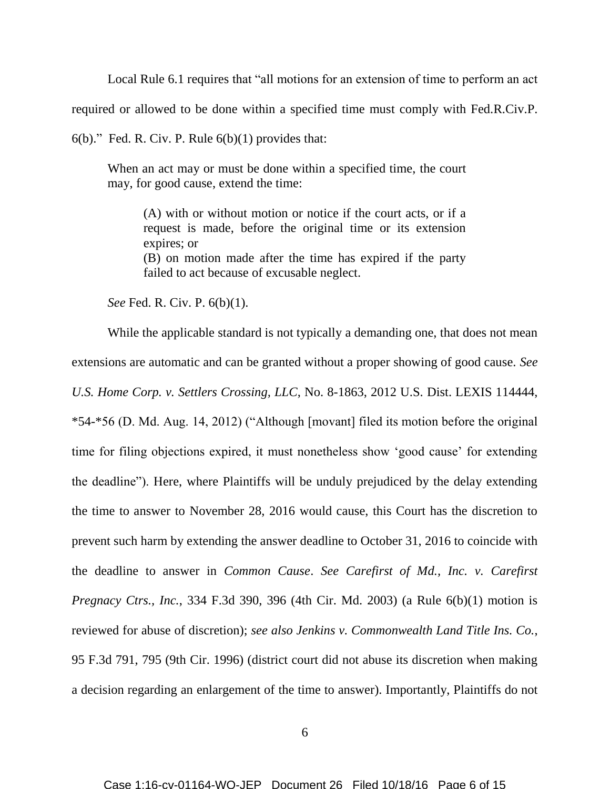Local Rule 6.1 requires that "all motions for an extension of time to perform an act

required or allowed to be done within a specified time must comply with Fed.R.Civ.P.

 $6(b)$ ." Fed. R. Civ. P. Rule  $6(b)(1)$  provides that:

When an act may or must be done within a specified time, the court may, for good cause, extend the time:

(A) with or without motion or notice if the court acts, or if a request is made, before the original time or its extension expires; or

(B) on motion made after the time has expired if the party failed to act because of excusable neglect.

*See* Fed. R. Civ. P. 6(b)(1).

While the applicable standard is not typically a demanding one, that does not mean extensions are automatic and can be granted without a proper showing of good cause. *See U.S. Home Corp. v. Settlers Crossing, LLC*, No. 8-1863, 2012 U.S. Dist. LEXIS 114444, \*54-\*56 (D. Md. Aug. 14, 2012) ("Although [movant] filed its motion before the original time for filing objections expired, it must nonetheless show 'good cause' for extending the deadline"). Here, where Plaintiffs will be unduly prejudiced by the delay extending the time to answer to November 28, 2016 would cause, this Court has the discretion to prevent such harm by extending the answer deadline to October 31, 2016 to coincide with the deadline to answer in *Common Cause*. *See Carefirst of Md., Inc. v. Carefirst Pregnacy Ctrs., Inc.*, 334 F.3d 390, 396 (4th Cir. Md. 2003) (a Rule 6(b)(1) motion is reviewed for abuse of discretion); *see also Jenkins v. Commonwealth Land Title Ins. Co.*, 95 F.3d 791, 795 (9th Cir. 1996) (district court did not abuse its discretion when making a decision regarding an enlargement of the time to answer). Importantly, Plaintiffs do not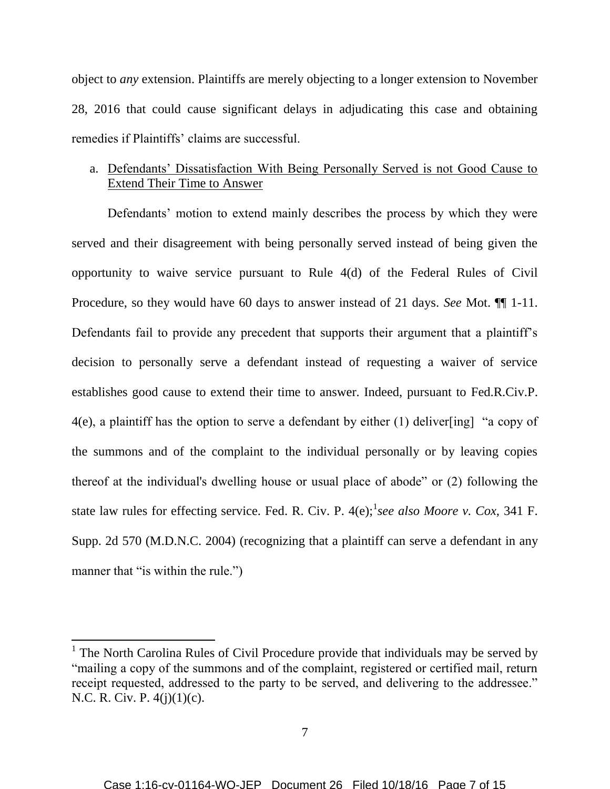object to *any* extension. Plaintiffs are merely objecting to a longer extension to November 28, 2016 that could cause significant delays in adjudicating this case and obtaining remedies if Plaintiffs' claims are successful.

# a. Defendants' Dissatisfaction With Being Personally Served is not Good Cause to Extend Their Time to Answer

Defendants' motion to extend mainly describes the process by which they were served and their disagreement with being personally served instead of being given the opportunity to waive service pursuant to Rule 4(d) of the Federal Rules of Civil Procedure, so they would have 60 days to answer instead of 21 days. *See* Mot. ¶¶ 1-11. Defendants fail to provide any precedent that supports their argument that a plaintiff's decision to personally serve a defendant instead of requesting a waiver of service establishes good cause to extend their time to answer. Indeed, pursuant to Fed.R.Civ.P. 4(e), a plaintiff has the option to serve a defendant by either (1) deliver[ing] "a copy of the summons and of the complaint to the individual personally or by leaving copies thereof at the individual's dwelling house or usual place of abode" or (2) following the state law rules for effecting service. Fed. R. Civ. P. 4(e); see also Moore v. Cox, 341 F. Supp. 2d 570 (M.D.N.C. 2004) (recognizing that a plaintiff can serve a defendant in any manner that "is within the rule."

l

<sup>&</sup>lt;sup>1</sup> The North Carolina Rules of Civil Procedure provide that individuals may be served by "mailing a copy of the summons and of the complaint, registered or certified mail, return receipt requested, addressed to the party to be served, and delivering to the addressee." N.C. R. Civ. P. 4(j)(1)(c).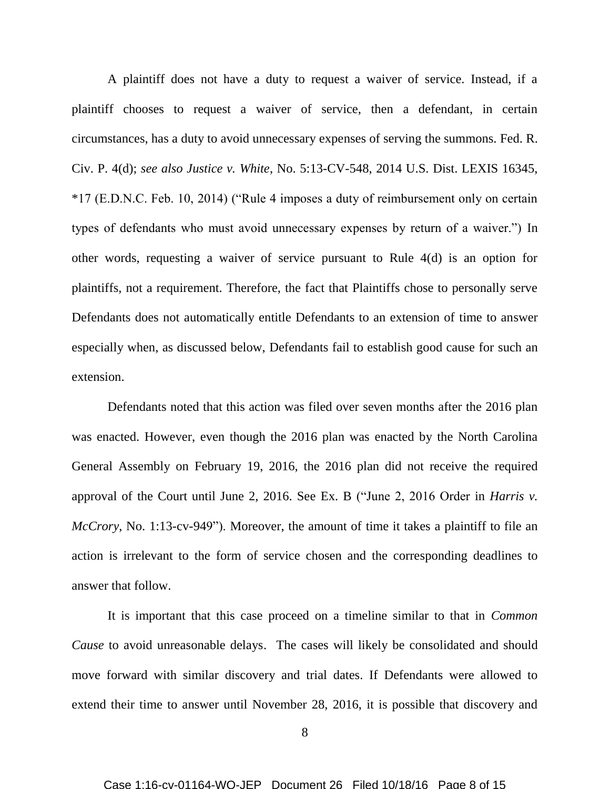A plaintiff does not have a duty to request a waiver of service. Instead, if a plaintiff chooses to request a waiver of service, then a defendant, in certain circumstances, has a duty to avoid unnecessary expenses of serving the summons. Fed. R. Civ. P. 4(d); *see also Justice v. White*, No. 5:13-CV-548, 2014 U.S. Dist. LEXIS 16345, \*17 (E.D.N.C. Feb. 10, 2014) ("Rule 4 imposes a duty of reimbursement only on certain types of defendants who must avoid unnecessary expenses by return of a waiver.") In other words, requesting a waiver of service pursuant to Rule 4(d) is an option for plaintiffs, not a requirement. Therefore, the fact that Plaintiffs chose to personally serve Defendants does not automatically entitle Defendants to an extension of time to answer especially when, as discussed below, Defendants fail to establish good cause for such an extension.

Defendants noted that this action was filed over seven months after the 2016 plan was enacted. However, even though the 2016 plan was enacted by the North Carolina General Assembly on February 19, 2016, the 2016 plan did not receive the required approval of the Court until June 2, 2016. See Ex. B ("June 2, 2016 Order in *Harris v. McCrory*, No. 1:13-cv-949"). Moreover, the amount of time it takes a plaintiff to file an action is irrelevant to the form of service chosen and the corresponding deadlines to answer that follow.

It is important that this case proceed on a timeline similar to that in *Common Cause* to avoid unreasonable delays. The cases will likely be consolidated and should move forward with similar discovery and trial dates. If Defendants were allowed to extend their time to answer until November 28, 2016, it is possible that discovery and

<sup>8</sup>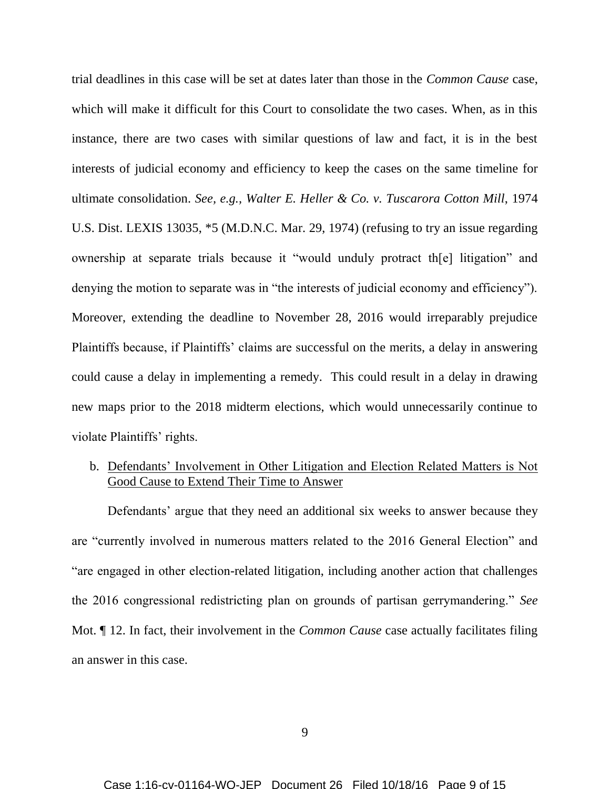trial deadlines in this case will be set at dates later than those in the *Common Cause* case, which will make it difficult for this Court to consolidate the two cases. When, as in this instance, there are two cases with similar questions of law and fact, it is in the best interests of judicial economy and efficiency to keep the cases on the same timeline for ultimate consolidation. *See, e.g., Walter E. Heller & Co. v. Tuscarora Cotton Mill*, 1974 U.S. Dist. LEXIS 13035, \*5 (M.D.N.C. Mar. 29, 1974) (refusing to try an issue regarding ownership at separate trials because it "would unduly protract th[e] litigation" and denying the motion to separate was in "the interests of judicial economy and efficiency"). Moreover, extending the deadline to November 28, 2016 would irreparably prejudice Plaintiffs because, if Plaintiffs' claims are successful on the merits, a delay in answering could cause a delay in implementing a remedy. This could result in a delay in drawing new maps prior to the 2018 midterm elections, which would unnecessarily continue to violate Plaintiffs' rights.

# b. Defendants' Involvement in Other Litigation and Election Related Matters is Not Good Cause to Extend Their Time to Answer

Defendants' argue that they need an additional six weeks to answer because they are "currently involved in numerous matters related to the 2016 General Election" and "are engaged in other election-related litigation, including another action that challenges the 2016 congressional redistricting plan on grounds of partisan gerrymandering." *See*  Mot. ¶ 12. In fact, their involvement in the *Common Cause* case actually facilitates filing an answer in this case.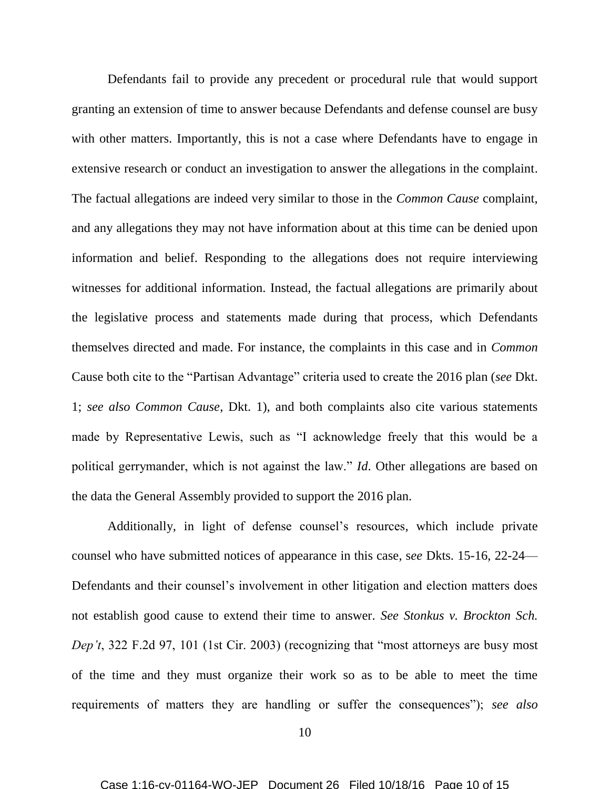Defendants fail to provide any precedent or procedural rule that would support granting an extension of time to answer because Defendants and defense counsel are busy with other matters. Importantly, this is not a case where Defendants have to engage in extensive research or conduct an investigation to answer the allegations in the complaint. The factual allegations are indeed very similar to those in the *Common Cause* complaint, and any allegations they may not have information about at this time can be denied upon information and belief. Responding to the allegations does not require interviewing witnesses for additional information. Instead, the factual allegations are primarily about the legislative process and statements made during that process, which Defendants themselves directed and made. For instance, the complaints in this case and in *Common*  Cause both cite to the "Partisan Advantage" criteria used to create the 2016 plan (*see* Dkt. 1; *see also Common Cause*, Dkt. 1), and both complaints also cite various statements made by Representative Lewis, such as "I acknowledge freely that this would be a political gerrymander, which is not against the law." *Id*. Other allegations are based on the data the General Assembly provided to support the 2016 plan.

Additionally, in light of defense counsel's resources, which include private counsel who have submitted notices of appearance in this case, s*ee* Dkts. 15-16, 22-24— Defendants and their counsel's involvement in other litigation and election matters does not establish good cause to extend their time to answer. *See Stonkus v. Brockton Sch. Dep't*, 322 F.2d 97, 101 (1st Cir. 2003) (recognizing that "most attorneys are busy most of the time and they must organize their work so as to be able to meet the time requirements of matters they are handling or suffer the consequences"); *see also*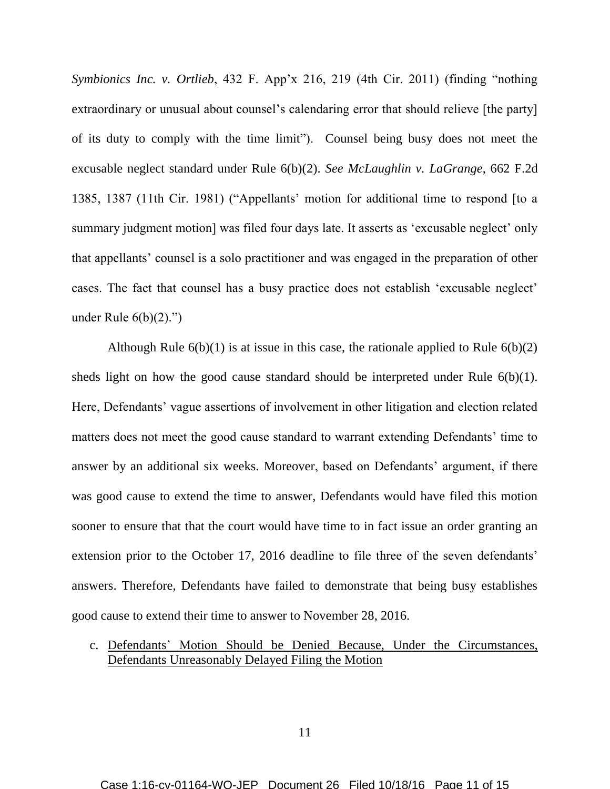*Symbionics Inc. v. Ortlieb*, 432 F. App'x 216, 219 (4th Cir. 2011) (finding "nothing extraordinary or unusual about counsel's calendaring error that should relieve [the party] of its duty to comply with the time limit"). Counsel being busy does not meet the excusable neglect standard under Rule 6(b)(2). *See McLaughlin v. LaGrange*, 662 F.2d 1385, 1387 (11th Cir. 1981) ("Appellants' motion for additional time to respond [to a summary judgment motion] was filed four days late. It asserts as 'excusable neglect' only that appellants' counsel is a solo practitioner and was engaged in the preparation of other cases. The fact that counsel has a busy practice does not establish 'excusable neglect' under Rule  $6(b)(2)$ ."

Although Rule  $6(b)(1)$  is at issue in this case, the rationale applied to Rule  $6(b)(2)$ sheds light on how the good cause standard should be interpreted under Rule 6(b)(1). Here, Defendants' vague assertions of involvement in other litigation and election related matters does not meet the good cause standard to warrant extending Defendants' time to answer by an additional six weeks. Moreover, based on Defendants' argument, if there was good cause to extend the time to answer, Defendants would have filed this motion sooner to ensure that that the court would have time to in fact issue an order granting an extension prior to the October 17, 2016 deadline to file three of the seven defendants' answers. Therefore, Defendants have failed to demonstrate that being busy establishes good cause to extend their time to answer to November 28, 2016.

# c. Defendants' Motion Should be Denied Because, Under the Circumstances, Defendants Unreasonably Delayed Filing the Motion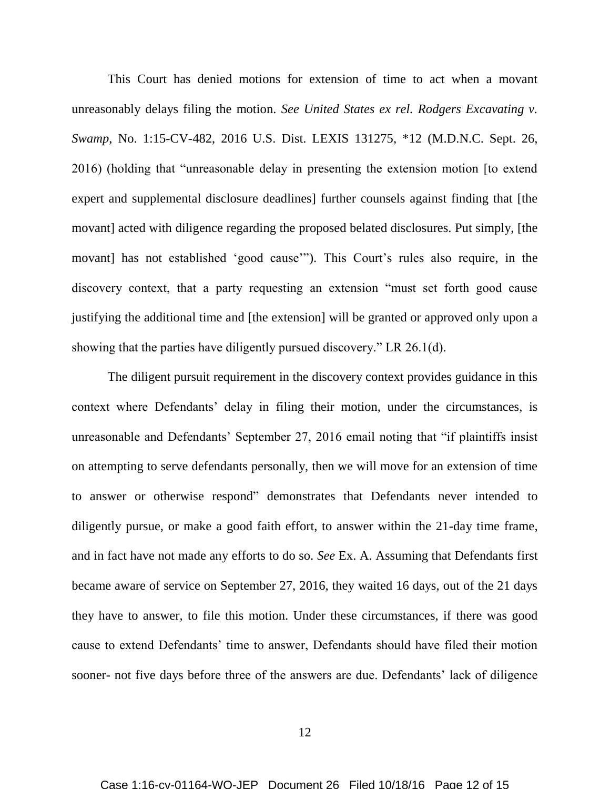This Court has denied motions for extension of time to act when a movant unreasonably delays filing the motion. *See United States ex rel. Rodgers Excavating v. Swamp*, No. 1:15-CV-482, 2016 U.S. Dist. LEXIS 131275, \*12 (M.D.N.C. Sept. 26, 2016) (holding that "unreasonable delay in presenting the extension motion [to extend expert and supplemental disclosure deadlines] further counsels against finding that [the movant] acted with diligence regarding the proposed belated disclosures. Put simply, [the movant] has not established 'good cause'"). This Court's rules also require, in the discovery context, that a party requesting an extension "must set forth good cause justifying the additional time and [the extension] will be granted or approved only upon a showing that the parties have diligently pursued discovery." LR 26.1(d).

The diligent pursuit requirement in the discovery context provides guidance in this context where Defendants' delay in filing their motion, under the circumstances, is unreasonable and Defendants' September 27, 2016 email noting that "if plaintiffs insist on attempting to serve defendants personally, then we will move for an extension of time to answer or otherwise respond" demonstrates that Defendants never intended to diligently pursue, or make a good faith effort, to answer within the 21-day time frame, and in fact have not made any efforts to do so. *See* Ex. A. Assuming that Defendants first became aware of service on September 27, 2016, they waited 16 days, out of the 21 days they have to answer, to file this motion. Under these circumstances, if there was good cause to extend Defendants' time to answer, Defendants should have filed their motion sooner- not five days before three of the answers are due. Defendants' lack of diligence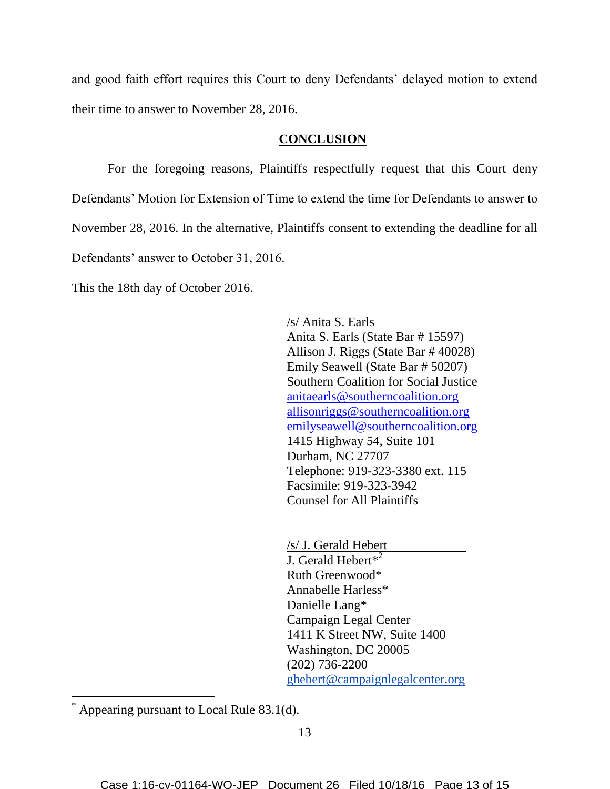and good faith effort requires this Court to deny Defendants' delayed motion to extend their time to answer to November 28, 2016.

## **CONCLUSION**

For the foregoing reasons, Plaintiffs respectfully request that this Court deny Defendants' Motion for Extension of Time to extend the time for Defendants to answer to November 28, 2016. In the alternative, Plaintiffs consent to extending the deadline for all Defendants' answer to October 31, 2016.

This the 18th day of October 2016.

/s/ Anita S. Earls Anita S. Earls (State Bar # 15597) Allison J. Riggs (State Bar # 40028) Emily Seawell (State Bar # 50207) Southern Coalition for Social Justice [anitaearls@southerncoalition.org](mailto:anitaearls@southerncoalition.org) [allisonriggs@southerncoalition.org](mailto:allisonriggs@southerncoalition.org) emilyseawell@southerncoalition.org 1415 Highway 54, Suite 101 Durham, NC 27707 Telephone: 919-323-3380 ext. 115 Facsimile: 919-323-3942 Counsel for All Plaintiffs

/s/ J. Gerald Hebert J. Gerald Hebert\*<sup>2</sup> Ruth Greenwood\* Annabelle Harless\* Danielle Lang\* Campaign Legal Center 1411 K Street NW, Suite 1400 Washington, DC 20005 (202) 736-2200 [ghebert@campaignlegalcenter.org](mailto:ghebert@campaignlegalcenter.org)

 $\overline{\phantom{a}}$ 

Appearing pursuant to Local Rule  $83.1(d)$ .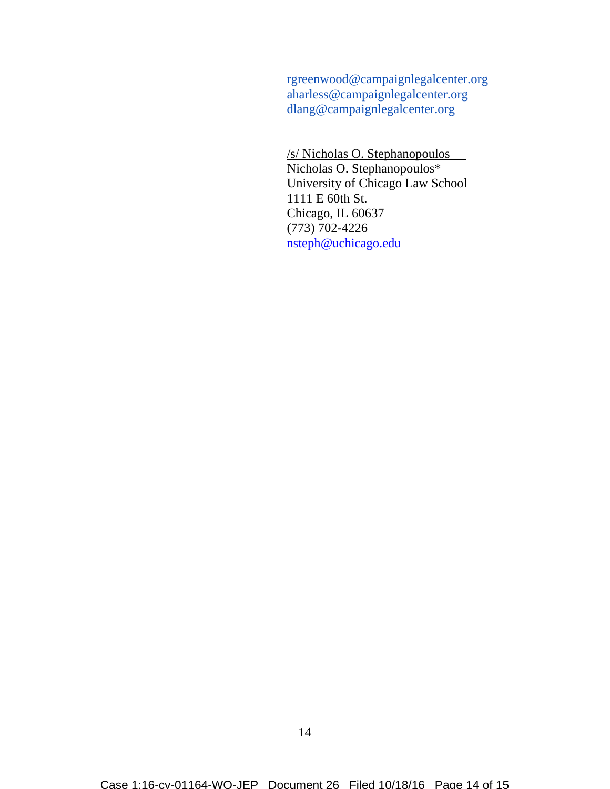[rgreenwood@campaignlegalcenter.org](mailto:rgreenwood@campaignlegalcenter.org) [aharless@campaignlegalcenter.org](mailto:aharless@campaignlegalcenter.org) [dlang@campaignlegalcenter.org](mailto:dlang@campaignlegalcenter.org)

/s/ Nicholas O. Stephanopoulos Nicholas O. Stephanopoulos\* University of Chicago Law School 1111 E 60th St. Chicago, IL 60637 (773) 702-4226 [nsteph@uchicago.edu](mailto:nsteph@uchicago.edu)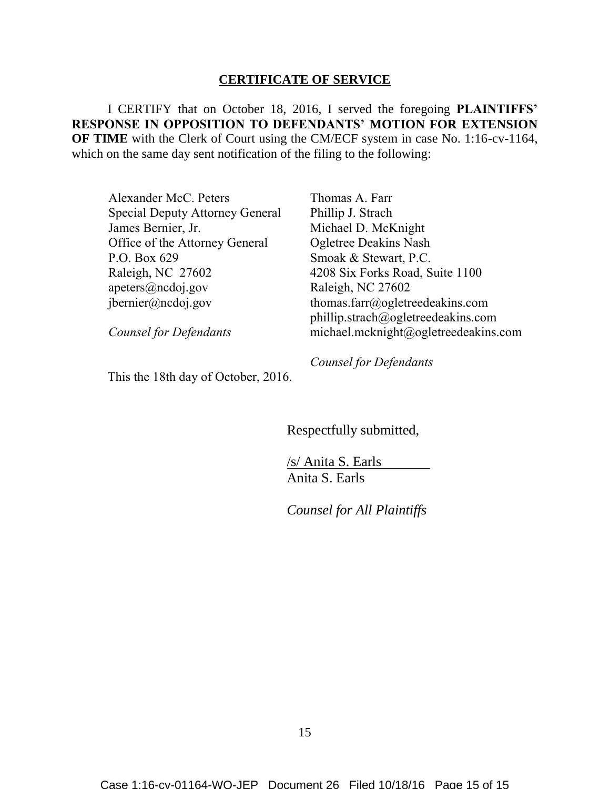## **CERTIFICATE OF SERVICE**

I CERTIFY that on October 18, 2016, I served the foregoing **PLAINTIFFS' RESPONSE IN OPPOSITION TO DEFENDANTS' MOTION FOR EXTENSION OF TIME** with the Clerk of Court using the CM/ECF system in case No. 1:16-cv-1164, which on the same day sent notification of the filing to the following:

Alexander McC. Peters Special Deputy Attorney General James Bernier, Jr. Office of the Attorney General P.O. Box 629 Raleigh, NC 27602 [apeters@ncdoj.gov](mailto:apeters@ncdoj.gov) jbernier@ncdoj.gov

*Counsel for Defendants*

Thomas A. Farr Phillip J. Strach Michael D. McKnight Ogletree Deakins Nash Smoak & Stewart, P.C. 4208 Six Forks Road, Suite 1100 Raleigh, NC 27602 thomas.farr@ogletreedeakins.com phillip.strach@ogletreedeakins.com michael.mcknight@ogletreedeakins.com

This the 18th day of October, 2016.

*Counsel for Defendants*

Respectfully submitted,

/s/ Anita S. Earls Anita S. Earls

*Counsel for All Plaintiffs*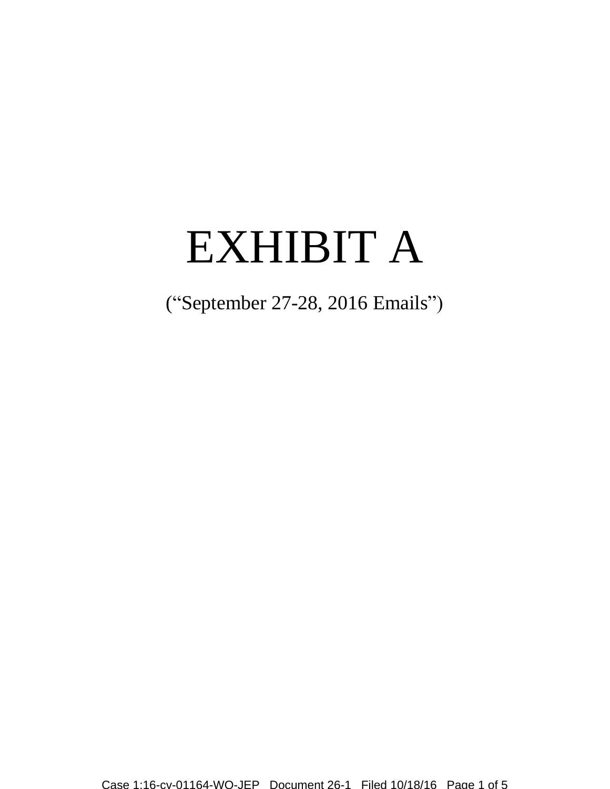# EXHIBIT A

("September 27-28, 2016 Emails")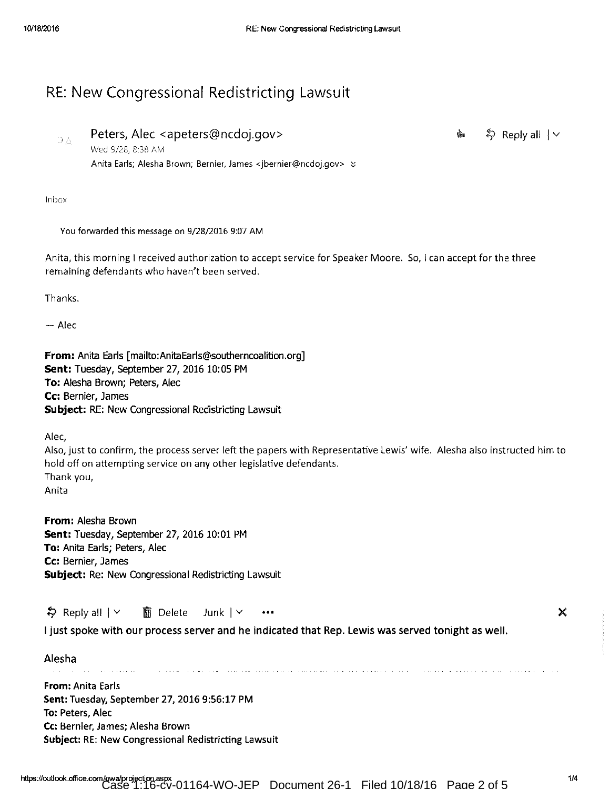# RE: New Congressional Redistricting Lawsuit

DA

↓ Reply all | ∨

ė

Peters, Alec <apeters@ncdoj.gov> Wed 9/28, 8:38 AM Anita Earls; Alesha Brown; Bernier, James <jbernier@ncdoj.gov> &

Inbox

You forwarded this message on 9/28/2016 9:07 AM

Anita, this morning I received authorization to accept service for Speaker Moore. So, I can accept for the three remaining defendants who haven't been served.

Thanks.

 $-$  Alec

From: Anita Earls [mailto:AnitaEarls@southerncoalition.org] Sent: Tuesday, September 27, 2016 10:05 PM To: Alesha Brown; Peters, Alec Cc: Bernier, James Subject: RE: New Congressional Redistricting Lawsuit

Alec,

Also, just to confirm, the process server left the papers with Representative Lewis' wife. Alesha also instructed him to hold off on attempting service on any other legislative defendants. Thank you, Anita

From: Alesha Brown Sent: Tuesday, September 27, 2016 10:01 PM To: Anita Earls; Peters, Alec Cc: Bernier, James Subject: Re: New Congressional Redistricting Lawsuit

 $\frac{1}{2}$  Reply all  $\vert \vee \vert$ 而 Delete Junk  $| \vee$  $\bullet$   $\bullet$   $\bullet$ 

I just spoke with our process server and he indicated that Rep. Lewis was served tonight as well.

| Alesha<br>$\cdots$<br>.                                                                                                                                                                         |
|-------------------------------------------------------------------------------------------------------------------------------------------------------------------------------------------------|
| <b>From:</b> Anita Earls<br>Sent: Tuesday, September 27, 2016 9:56:17 PM<br>To: Peters, Alec<br>Cc: Bernier, James; Alesha Brown<br><b>Subject: RE: New Congressional Redistricting Lawsuit</b> |
|                                                                                                                                                                                                 |

X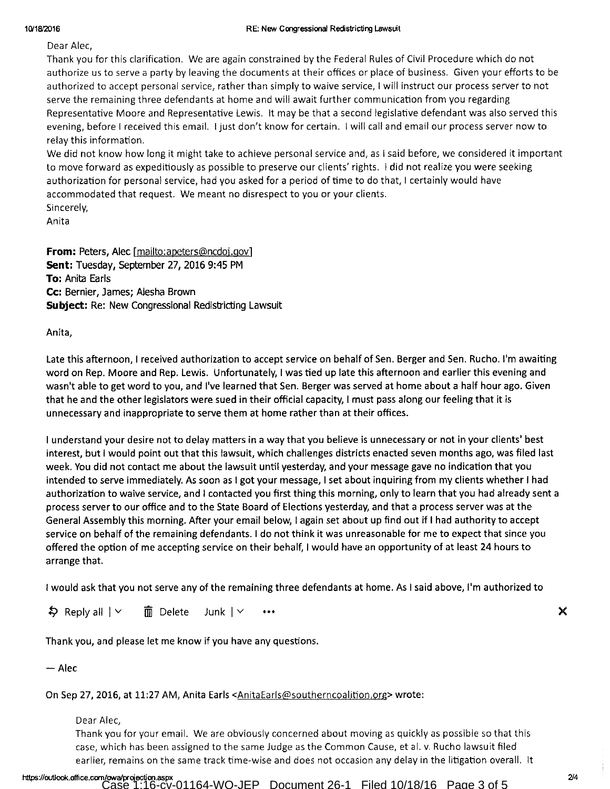### 10/18/2016

Dear Alec,

Thank you for this clarification. We are again constrained by the Federal Rules of Civil Procedure which do not authorize us to serve a party by leaving the documents at their offices or place of business. Given your efforts to be authorized to accept personal service, rather than simply to waive service, I will instruct our process server to not serve the remaining three defendants at home and will await further communication from you regarding Representative Moore and Representative Lewis. It may be that a second legislative defendant was also served this evening, before I received this email. I just don't know for certain. I will call and email our process server now to relay this information.

We did not know how long it might take to achieve personal service and, as I said before, we considered it important to move forward as expeditiously as possible to preserve our clients' rights. I did not realize you were seeking authorization for personal service, had you asked for a period of time to do that, I certainly would have accommodated that request. We meant no disrespect to you or your clients.

Sincerely, Anita

From: Peters, Alec [mailto:apeters@ncdoj.gov] Sent: Tuesday, September 27, 2016 9:45 PM To: Anita Earls Cc: Bernier, James; Alesha Brown **Subject:** Re: New Congressional Redistricting Lawsuit

Anita,

Late this afternoon, I received authorization to accept service on behalf of Sen. Berger and Sen. Rucho. I'm awaiting word on Rep. Moore and Rep. Lewis. Unfortunately, I was tied up late this afternoon and earlier this evening and wasn't able to get word to you, and I've learned that Sen. Berger was served at home about a half hour ago. Given that he and the other legislators were sued in their official capacity, I must pass along our feeling that it is unnecessary and inappropriate to serve them at home rather than at their offices.

I understand your desire not to delay matters in a way that you believe is unnecessary or not in your clients' best interest, but I would point out that this lawsuit, which challenges districts enacted seven months ago, was filed last week. You did not contact me about the lawsuit until yesterday, and your message gave no indication that you intended to serve immediately. As soon as I got your message, I set about inquiring from my clients whether I had authorization to waive service, and I contacted you first thing this morning, only to learn that you had already sent a process server to our office and to the State Board of Elections yesterday, and that a process server was at the General Assembly this morning. After your email below, I again set about up find out if I had authority to accept service on behalf of the remaining defendants. I do not think it was unreasonable for me to expect that since you offered the option of me accepting service on their behalf, I would have an opportunity of at least 24 hours to arrange that.

I would ask that you not serve any of the remaining three defendants at home. As I said above, I'm authorized to

 $\frac{1}{2}$  Reply all  $\vert \vee \vert$  $\overline{\overline{\mathbb{m}}}$  Delete Junk  $\vert \vee$ 

Thank you, and please let me know if you have any questions.

 $-$  Alec

On Sep 27, 2016, at 11:27 AM, Anita Earls <AnitaEarls@southerncoalition.org> wrote:

Dear Alec.

Thank you for your email. We are obviously concerned about moving as quickly as possible so that this case, which has been assigned to the same Judge as the Common Cause, et al. v. Rucho lawsuit filed earlier, remains on the same track time-wise and does not occasion any delay in the litigation overall. It ×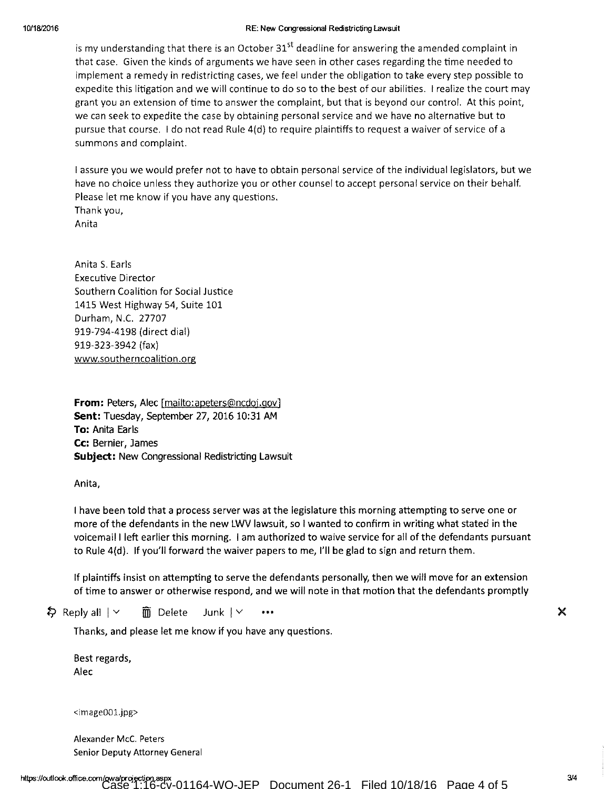### RE: New Congressional Redistricting Lawsuit

is my understanding that there is an October 31<sup>st</sup> deadline for answering the amended complaint in that case. Given the kinds of arguments we have seen in other cases regarding the time needed to implement a remedy in redistricting cases, we feel under the obligation to take every step possible to expedite this litigation and we will continue to do so to the best of our abilities. I realize the court may grant you an extension of time to answer the complaint, but that is beyond our control. At this point, we can seek to expedite the case by obtaining personal service and we have no alternative but to pursue that course. I do not read Rule 4(d) to require plaintiffs to request a waiver of service of a summons and complaint.

I assure you we would prefer not to have to obtain personal service of the individual legislators, but we have no choice unless they authorize you or other counsel to accept personal service on their behalf. Please let me know if you have any questions. Thank you, Anita

Anita S. Earls **Executive Director** Southern Coalition for Social Justice 1415 West Highway 54, Suite 101 Durham, N.C. 27707 919-794-4198 (direct dial) 919-323-3942 (fax) www.southerncoalition.org

**From:** Peters, Alec [mailto:apeters@ncdoj.gov] Sent: Tuesday, September 27, 2016 10:31 AM To: Anita Earls Cc: Bernier, James **Subject:** New Congressional Redistricting Lawsuit

Anita,

I have been told that a process server was at the legislature this morning attempting to serve one or more of the defendants in the new LWV lawsuit, so I wanted to confirm in writing what stated in the voicemail I left earlier this morning. I am authorized to waive service for all of the defendants pursuant to Rule 4(d). If you'll forward the waiver papers to me, I'll be glad to sign and return them.

If plaintiffs insist on attempting to serve the defendants personally, then we will move for an extension of time to answer or otherwise respond, and we will note in that motion that the defendants promptly

 $\frac{1}{2}$  Reply all  $\vert \vee \vert$  $\overline{\mathbb{m}}$  Delete Junk | Y

Thanks, and please let me know if you have any questions.

Best regards, Alec

<image001.jpg>

Alexander McC. Peters Senior Deputy Attorney General

 $3/4$ 

×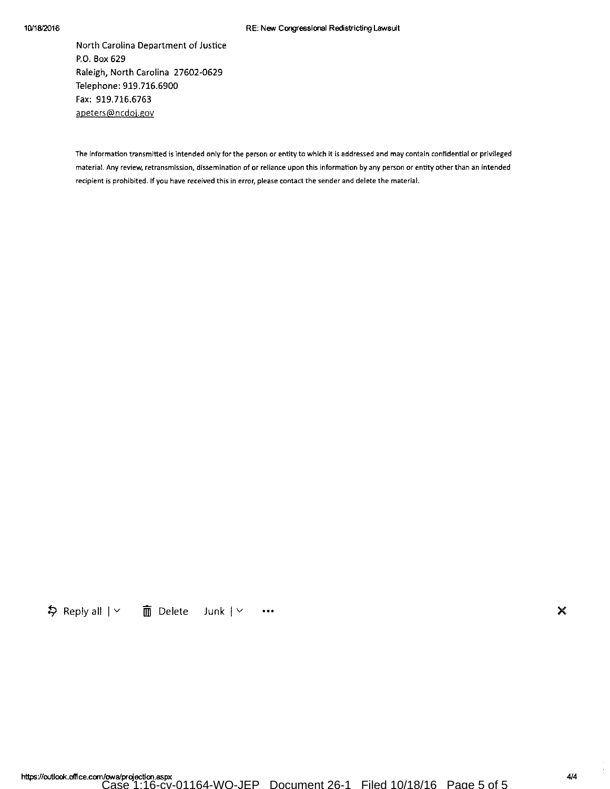## 10/18/2016

### RE: New Congressional Redistricting Lawsuit

North Carolina Department of Justice P.O. Box 629 Raleigh, North Carolina 27602-0629 Telephone: 919.716.6900 Fax: 919.716.6763 apeters@ncdoj.gov

The information transmitted is intended only for the person or entity to which it is addressed and may contain confidential or privileged material. Any review, retransmission, dissemination of or reliance upon this information by any person or entity other than an intended recipient is prohibited. If you have received this in error, please contact the sender and delete the material.

\$ Reply all | v | 面 Delete | Junk | v | …

×

4/4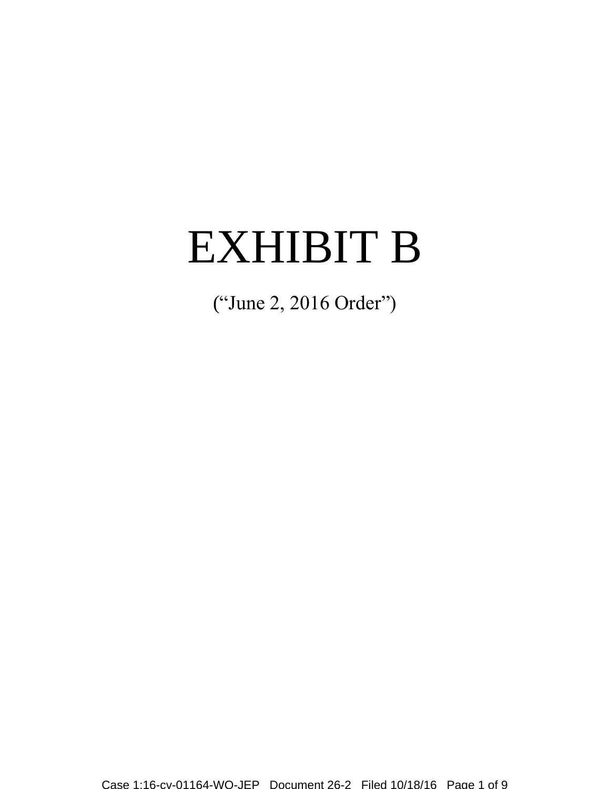# EXHIBIT B

("June 2, 2016 Order")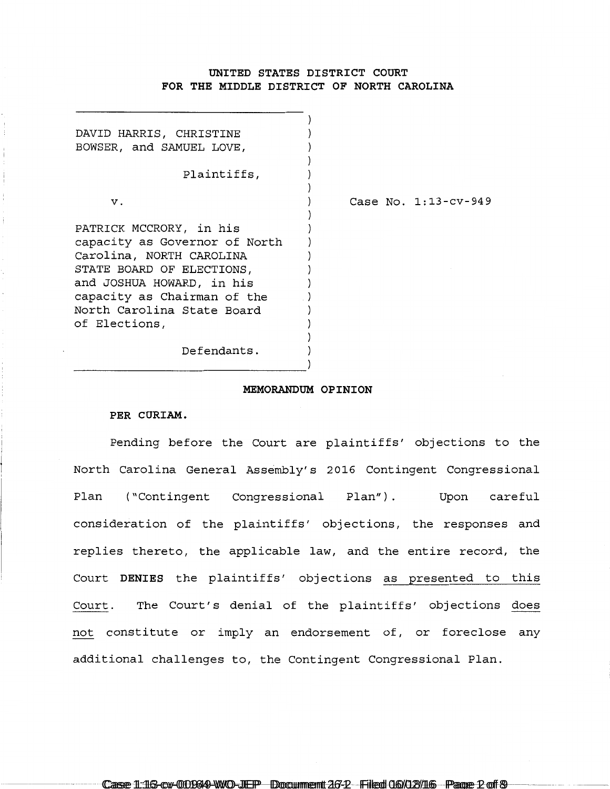## **UNITED STATES DISTRICT COURT FOR THE MIDDLE DISTRICT OF NORTH CAROLINA**

| DAVID HARRIS, CHRISTINE<br>BOWSER, and SAMUEL LOVE, |                      |
|-----------------------------------------------------|----------------------|
| Plaintiffs,                                         |                      |
| v.                                                  | Case No. 1:13-cv-949 |
| PATRICK MCCRORY, in his                             |                      |
| capacity as Governor of North                       |                      |
| Carolina, NORTH CAROLINA                            |                      |
| STATE BOARD OF ELECTIONS,                           |                      |
| and JOSHUA HOWARD, in his                           |                      |
| capacity as Chairman of the                         |                      |
| North Carolina State Board                          |                      |
| of Elections,                                       |                      |
|                                                     |                      |
| Defendants.                                         |                      |

## **MEMORANDUM OPINION**

## **PER CURIAM.**

Pending before the Court are plaintiffs' objections to the North Carolina General Assembly's 2016 Contingent Congressional Plan ("Contingent Congressional Plan") . Upon careful consideration of the plaintiffs' objections, the responses and replies thereto, the applicable law, and the entire record, the Court **DENIES** the plaintiffs' objections as presented to this Court. The Court's denial of the plaintiffs' objections does not constitute or imply an endorsement of, or foreclose any additional challenges to, the Contingent Congressional Plan.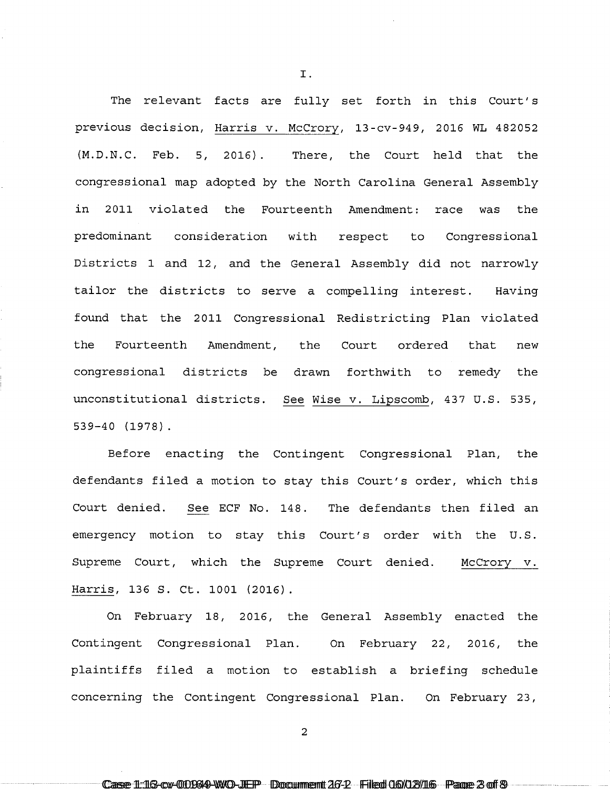The relevant facts are fully set forth in this Court's previous decision, Harris v. McCrory, 13-cv-949, 2016 WL 482052 (M.D.N.C. Feb. 5, 2016). There, the Court held that the congressional map adopted by the North Carolina General Assembly in 2011 violated the Fourteenth Amendment: race was the predominant consideration with respect to Congressional Districts 1 and 12, and the General Assembly did not narrowly tailor the districts to serve a compelling interest. Having found that the 2011 Congressional Redistricting Plan violated the Fourteenth Amendment, the Court ordered that new congressional districts be drawn forthwith to remedy the unconstitutional districts. See Wise v. Lipscomb, 437 U.S. 535, 539-40 (1978).

I.

Before enacting the Contingent Congressional Plan, the defendants filed a motion to stay this Court's order, which this Court denied. See ECF No. 148. The defendants then filed an emergency motion to stay this Court's order with the U.S. Supreme Court, which the Supreme Court denied. Harris, 136 S. Ct. 1001 (2016). McCrory v.

On February 18, 2016, the General Assembly enacted the Contingent Congressional Plan. On February 22, 2016, the plaintiffs filed a motion to establish a briefing schedule concerning the Contingent Congressional Plan. On February 23,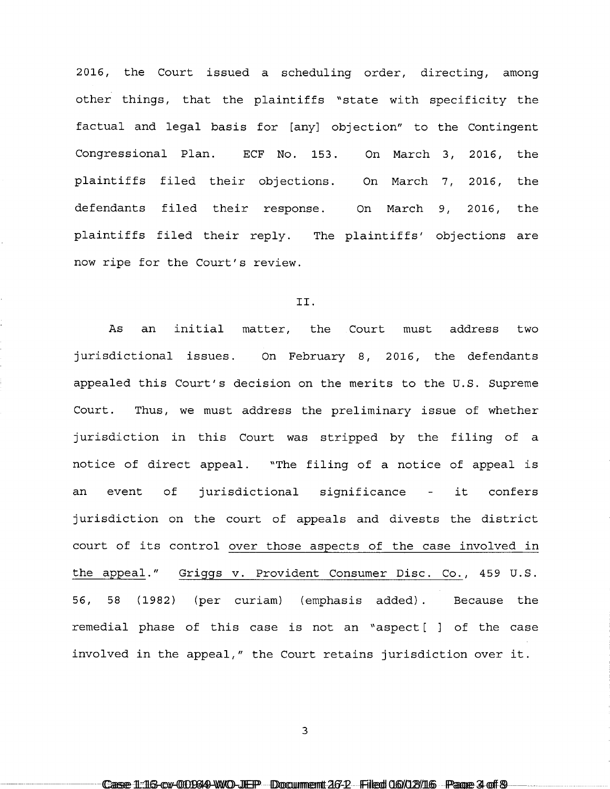2016, the Court issued a scheduling order, directing, among other things, that the plaintiffs "state with specificity the factual and legal basis for [any] objection" to the Contingent Congressional Plan. ECF No. 153. On March 3, 2016, the plaintiffs filed their objections. On March 7, 2016, the defendants filed their response. On March 9, 2016, the plaintiffs filed their reply. The plaintiffs' objections are now ripe for the Court's review.

## II.

As an initial matter, the Court must address two jurisdictional issues. On February 8, 2016, the defendants appealed this Court's decision on the merits to the U.S. Supreme Court. Thus, we must address the preliminary issue of whether jurisdiction in this Court was stripped by the filing of a notice of direct appeal. "The filing of a notice of appeal is an event of jurisdictional significance - it confers jurisdiction on the court of appeals and divests the district court of its control over those aspects of the case involved in the appeal." Griggs v. Provident Consumer Disc. Co., 459 U.S. 56, 58 (1982) (per curiam) (emphasis added) . remedial phase of this case is not an "aspect[ ] of the case Because the involved in the appeal," the Court retains jurisdiction over it.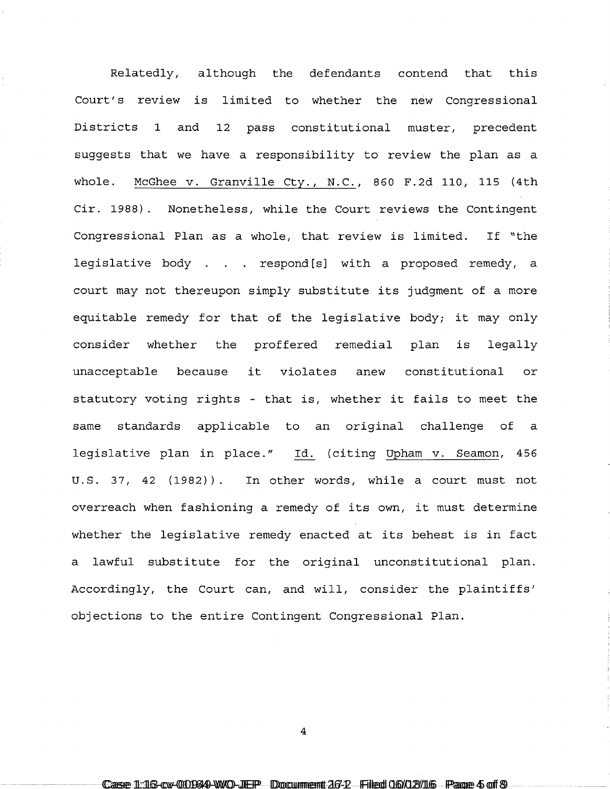Relatedly, although the defendants contend that this Court's review is limited to whether the new Congressional Districts 1 and 12 pass constitutional muster, precedent suggests that we have a responsibility to review the plan as a whole. McGhee v. Granville Cty., N.C., 860 F.2d 110, 115 (4th Cir. 1988). Nonetheless, while the Court reviews the Contingent Congressional Plan as a whole, that review is limited. If "the legislative body . . . respond [s] with a proposed remedy, a court may not thereupon simply substitute its judgment of a more equitable remedy for that of the legislative body; it may only consider whether the proffered remedial plan is legally unacceptable because it violates anew constitutional or statutory voting rights - that is, whether it fails to meet the same standards applicable to an original challenge of a legislative plan in place." Id. (citing Upham v. Seamon, 456 u.s. 37, 42 (1982)). In other words, while a court must not overreach when fashioning a remedy of its own, it must determine whether the legislative remedy enacted at its behest is in fact a lawful substitute for the original unconstitutional plan. Accordingly, the Court can, and will, consider the plaintiffs' objections to the entire Contingent Congressional Plan.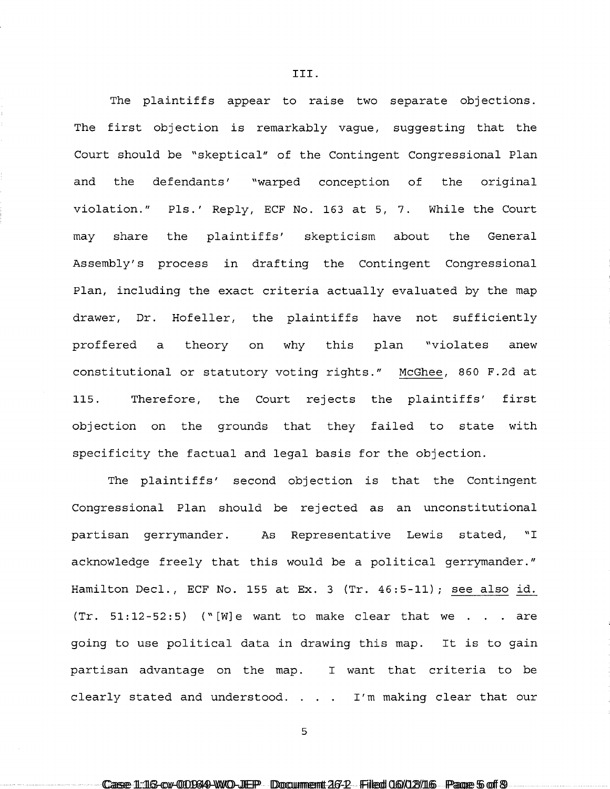The plaintiffs appear to raise two separate objections. The first objection is remarkably vague, suggesting that the Court should be "skeptical" of the Contingent Congressional Plan and the defendants' "warped conception of the original violation." Pls.' Reply, ECF No. 163 at 5, 7. While the Court may share the plaintiffs' skepticism about the General Assembly's process in drafting the Contingent Congressional Plan, including the exact criteria actually evaluated by the map drawer, Dr. Hofeller, the plaintiffs have not sufficiently proffered a theory on why this plan "violates anew constitutional or statutory voting rights." McGhee, 860 F.2d at 115. Therefore, the Court rejects the plaintiffs' first objection on the grounds that they failed to state with specificity the factual and legal basis for the objection.

III.

The plaintiffs' second objection is that the Contingent Congressional Plan should be rejected as an unconstitutional partisan gerrymander. As Representative Lewis stated, "I acknowledge freely that this would be a political gerrymander." Hamilton Decl., ECF No. 155 at Ex. 3 (Tr. 46:5-11); see also id.  $(Tr. 51:12-52:5)$  ("[W]e want to make clear that we . . . are going to use political data in drawing this map. It is to gain partisan advantage on the map. I want that criteria to be clearly stated and understood. I'm making clear that our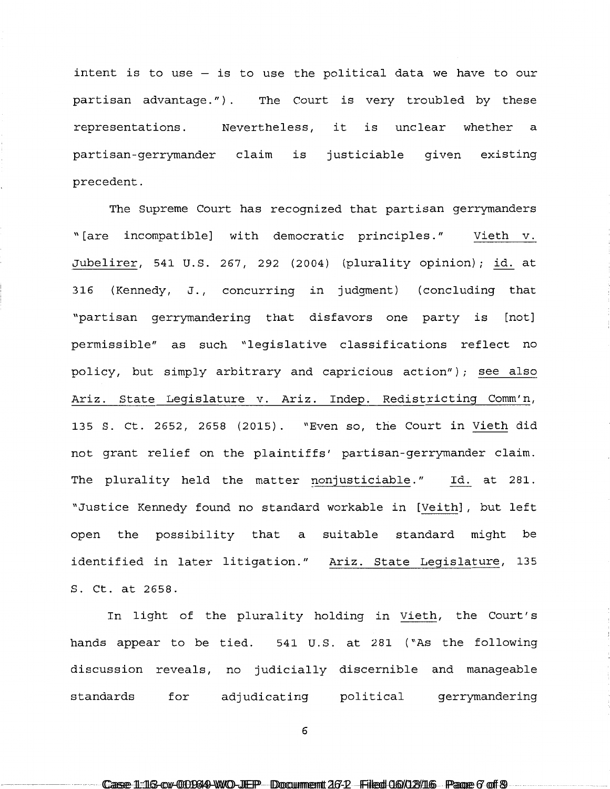intent is to use - is to use the political data we have to our partisan advantage.") . The Court is very troubled by these representations. Nevertheless, it is unclear whether a partisan-gerrymander claim is justiciable given existing precedent.

The Supreme Court has recognized that partisan gerrymanders "[are incompatible] with democratic principles." Vieth v. Jubelirer, 541 U.S. 267, 292 (2004) (plurality opinion); id. at 316 (Kennedy, J., concurring in judgment) (concluding that "partisan gerrymandering that disfavors one party is [not] permissible" as such "legislative classifications reflect no policy, but simply arbitrary and capricious action"); see also Ariz. State Legislature v. Ariz. Indep. Redistricting Comm'n, 135 S. Ct. 2652, 2658 (2015). "Even so, the Court in Vieth did not grant relief on the plaintiffs' partisan-gerrymander claim. The plurality held the matter nonjusticiable." Id. at 281. "Justice Kennedy found no standard workable in [Veith] , but left open the possibility that a suitable standard might be identified in later litigation." Ariz. State Legislature, 135 S. Ct. at 2658.

In light of the plurality holding in Vieth, the Court's hands appear to be tied. 541 U.S. at 281 ("As the following discussion reveals, no judicially discernible and manageable standards for adjudicating political gerrymandering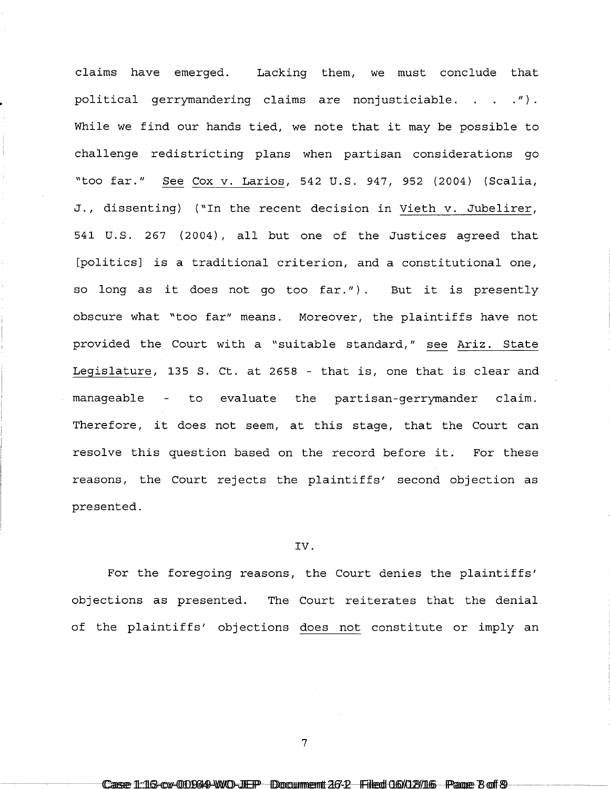claims have emerged. Lacking them, we must conclude that political gerrymandering claims are nonjusticiable.  $\ldots$  .  $\ldots$ While we find our hands tied, we note that it may be possible to challenge redistricting plans when partisan considerations go "too far." See Cox v. Larios, 542 u.s. 947, 952 (2004) (Scalia, J., dissenting) ("In the recent decision in Vieth v. Jubelirer, 541 U.S. 267 (2004), all but one of the Justices agreed that [politics] is a traditional criterion, and a constitutional one, so long as it does not go too far.") . But it is presently obscure what "too far" means. Moreover, the plaintiffs have not provided the Court with a "suitable standard," see Ariz. State Legislature, 135 S. Ct. at 2658 - that is, one that is clear and manageable - to evaluate the partisan-gerrymander claim. Therefore, it does not seem, at this stage, that the Court can resolve this question based on the record before it. For these reasons, the Court rejects the plaintiffs' second objection as presented.

## IV.

For the foregoing reasons, the Court denies the plaintiffs' objections as presented. The Court reiterates that the denial of the plaintiffs' objections does not constitute or imply an